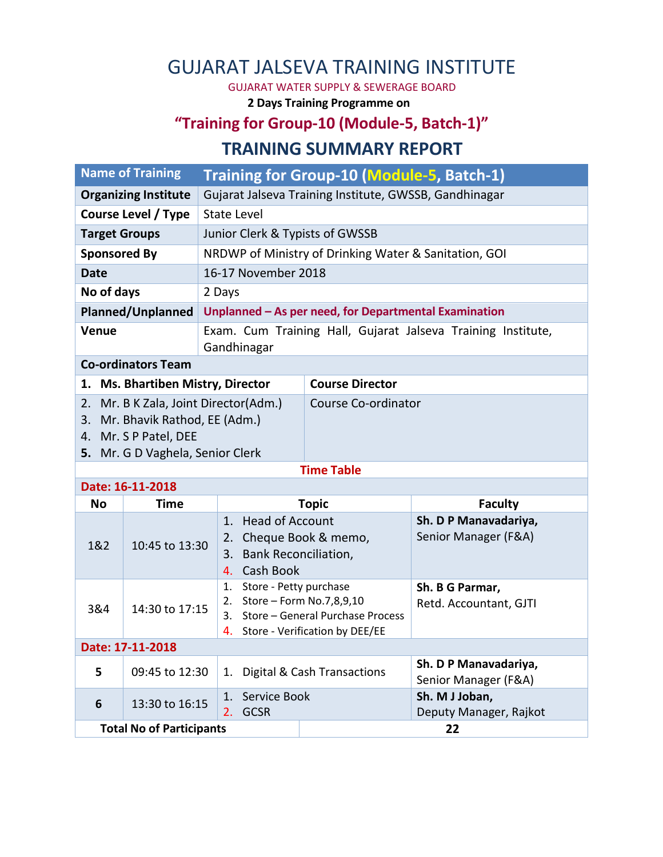## GUJARAT JALSEVA TRAINING INSTITUTE

GUJARAT WATER SUPPLY & SEWERAGE BOARD

**2 Days Training Programme on**

## **"Training for Group-10 (Module-5, Batch-1)" TRAINING SUMMARY REPORT**

| <b>Name of Training</b>           | Training for Group-10 (Module-5, Batch-1)                                   |                        |  |  |  |
|-----------------------------------|-----------------------------------------------------------------------------|------------------------|--|--|--|
| <b>Organizing Institute</b>       | Gujarat Jalseva Training Institute, GWSSB, Gandhinagar                      |                        |  |  |  |
| Course Level / Type               | <b>State Level</b>                                                          |                        |  |  |  |
| <b>Target Groups</b>              | Junior Clerk & Typists of GWSSB                                             |                        |  |  |  |
| <b>Sponsored By</b>               | NRDWP of Ministry of Drinking Water & Sanitation, GOI                       |                        |  |  |  |
| <b>Date</b>                       | 16-17 November 2018                                                         |                        |  |  |  |
| No of days                        | 2 Days                                                                      |                        |  |  |  |
| <b>Planned/Unplanned</b>          | Unplanned - As per need, for Departmental Examination                       |                        |  |  |  |
| <b>Venue</b>                      | Exam. Cum Training Hall, Gujarat Jalseva Training Institute,<br>Gandhinagar |                        |  |  |  |
| <b>Co-ordinators Team</b>         |                                                                             |                        |  |  |  |
| 1. Ms. Bhartiben Mistry, Director |                                                                             | <b>Course Director</b> |  |  |  |

| 2. Mr. B K Zala, Joint Director(Adm.) | Course Co-ordinator |
|---------------------------------------|---------------------|
| 3. Mr. Bhavik Rathod, EE (Adm.)       |                     |
| 4. Mr. S P Patel, DEE                 |                     |

**5.** Mr. G D Vaghela, Senior Clerk

**Time Table**

| Date: 16-11-2018                |                |                                                                                                                                            |              |                                               |  |  |  |
|---------------------------------|----------------|--------------------------------------------------------------------------------------------------------------------------------------------|--------------|-----------------------------------------------|--|--|--|
| No.                             | <b>Time</b>    |                                                                                                                                            | <b>Topic</b> | <b>Faculty</b>                                |  |  |  |
| 1&2                             | 10:45 to 13:30 | 1. Head of Account<br>2. Cheque Book & memo,<br>3. Bank Reconciliation,<br>Cash Book<br>4.                                                 |              | Sh. D P Manavadariya,<br>Senior Manager (F&A) |  |  |  |
| 3&4                             | 14:30 to 17:15 | Store - Petty purchase<br>1.<br>Store – Form No.7,8,9,10<br>2.<br>3. Store – General Purchase Process<br>4. Store - Verification by DEE/EE |              | Sh. B G Parmar,<br>Retd. Accountant, GJTI     |  |  |  |
| Date: 17-11-2018                |                |                                                                                                                                            |              |                                               |  |  |  |
| 5                               | 09:45 to 12:30 | Digital & Cash Transactions<br>1.                                                                                                          |              | Sh. D P Manavadariya,<br>Senior Manager (F&A) |  |  |  |
| 6                               | 13:30 to 16:15 | Service Book<br>1.<br><b>GCSR</b><br>2.                                                                                                    |              | Sh. M J Joban,<br>Deputy Manager, Rajkot      |  |  |  |
| <b>Total No of Participants</b> |                |                                                                                                                                            | 22           |                                               |  |  |  |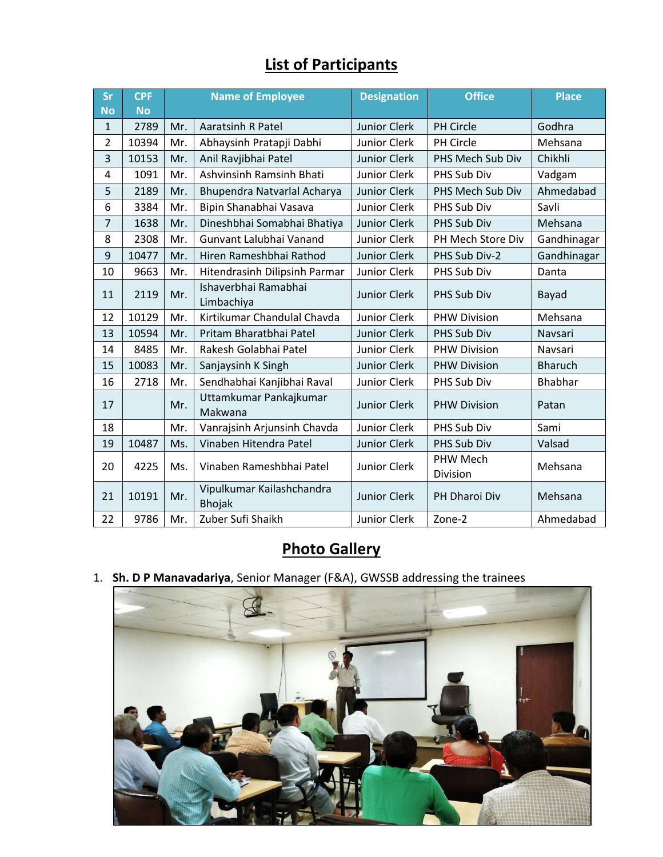## **List of Participants**

| Sr             | <b>CPF</b> | <b>Name of Employee</b> |                                            | <b>Designation</b>  | <b>Office</b>        | <b>Place</b>   |
|----------------|------------|-------------------------|--------------------------------------------|---------------------|----------------------|----------------|
| <b>No</b>      | <b>No</b>  |                         |                                            |                     |                      |                |
| $\mathbf{1}$   | 2789       | Mr.                     | <b>Aaratsinh R Patel</b>                   | <b>Junior Clerk</b> | <b>PH Circle</b>     | Godhra         |
| $\overline{2}$ | 10394      | Mr.                     | Abhaysinh Pratapji Dabhi                   | Junior Clerk        | PH Circle            | Mehsana        |
| 3              | 10153      | Mr.                     | Anil Ravjibhai Patel                       | <b>Junior Clerk</b> | PHS Mech Sub Div     | Chikhli        |
| 4              | 1091       | Mr.                     | <b>Ashvinsinh Ramsinh Bhati</b>            | Junior Clerk        | PHS Sub Div          | Vadgam         |
| 5              | 2189       | Mr.                     | Bhupendra Natvarlal Acharya                | <b>Junior Clerk</b> | PHS Mech Sub Div     | Ahmedabad      |
| 6              | 3384       | Mr.                     | Bipin Shanabhai Vasava                     | Junior Clerk        | PHS Sub Div          | Savli          |
| 7              | 1638       | Mr.                     | Dineshbhai Somabhai Bhatiya                | <b>Junior Clerk</b> | PHS Sub Div          | Mehsana        |
| 8              | 2308       | Mr.                     | Gunvant Lalubhai Vanand                    | Junior Clerk        | PH Mech Store Div    | Gandhinagar    |
| 9              | 10477      | Mr.                     | Hiren Rameshbhai Rathod                    | <b>Junior Clerk</b> | PHS Sub Div-2        | Gandhinagar    |
| 10             | 9663       | Mr.                     | Hitendrasinh Dilipsinh Parmar              | <b>Junior Clerk</b> | PHS Sub Div          | Danta          |
| 11             | 2119       | Mr.                     | Ishaverbhai Ramabhai<br>Limbachiya         | <b>Junior Clerk</b> | PHS Sub Div          | Bayad          |
| 12             | 10129      | Mr.                     | Kirtikumar Chandulal Chavda                | <b>Junior Clerk</b> | <b>PHW Division</b>  | Mehsana        |
| 13             | 10594      | Mr.                     | Pritam Bharatbhai Patel                    | <b>Junior Clerk</b> | PHS Sub Div          | Navsari        |
| 14             | 8485       | Mr.                     | Rakesh Golabhai Patel                      | Junior Clerk        | <b>PHW Division</b>  | Navsari        |
| 15             | 10083      | Mr.                     | Sanjaysinh K Singh                         | <b>Junior Clerk</b> | <b>PHW Division</b>  | <b>Bharuch</b> |
| 16             | 2718       | Mr.                     | Sendhabhai Kanjibhai Raval                 | <b>Junior Clerk</b> | PHS Sub Div          | <b>Bhabhar</b> |
| 17             |            | Mr.                     | Uttamkumar Pankajkumar<br>Makwana          | <b>Junior Clerk</b> | <b>PHW Division</b>  | Patan          |
| 18             |            | Mr.                     | Vanrajsinh Arjunsinh Chavda                | Junior Clerk        | PHS Sub Div          | Sami           |
| 19             | 10487      | Ms.                     | Vinaben Hitendra Patel                     | <b>Junior Clerk</b> | PHS Sub Div          | Valsad         |
| 20             | 4225       | Ms.                     | Vinaben Rameshbhai Patel                   | Junior Clerk        | PHW Mech<br>Division | Mehsana        |
| 21             | 10191      | Mr.                     | Vipulkumar Kailashchandra<br><b>Bhojak</b> | <b>Junior Clerk</b> | PH Dharoi Div        | Mehsana        |
| 22             | 9786       | Mr.                     | Zuber Sufi Shaikh                          | Junior Clerk        | Zone-2               | Ahmedabad      |

## **Photo Gallery**

1. **Sh. D P Manavadariya**, Senior Manager (F&A), GWSSB addressing the trainees